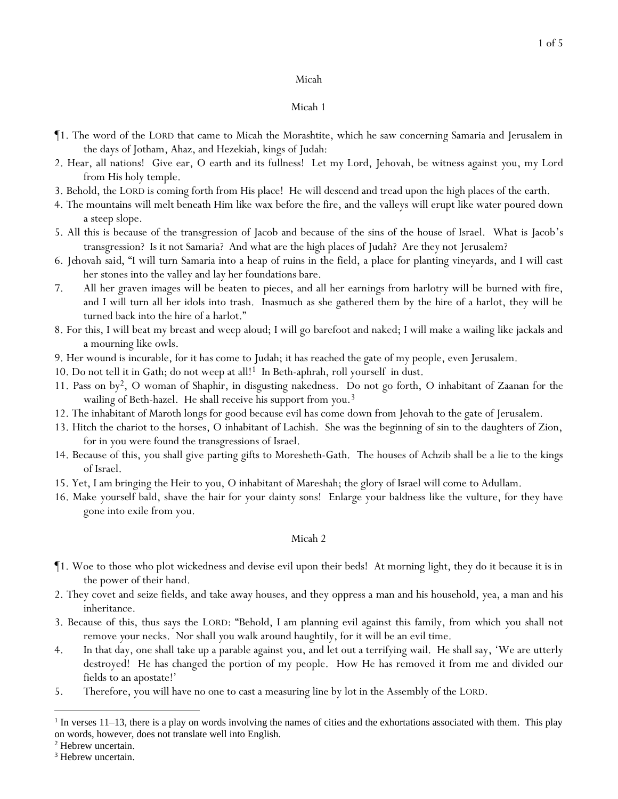## Micah 1

- ¶1. The word of the LORD that came to Micah the Morashtite, which he saw concerning Samaria and Jerusalem in the days of Jotham, Ahaz, and Hezekiah, kings of Judah:
- 2. Hear, all nations! Give ear, O earth and its fullness! Let my Lord, Jehovah, be witness against *y*ou, my Lord from His holy temple.
- 3. Behold, the LORD is coming forth from His place! He will descend and tread upon the high places of the earth.
- 4. The mountains will melt beneath Him like wax before the fire, and the valleys will erupt like water poured down a steep slope.
- 5. All this is because of the transgression of Jacob and because of the sins of the house of Israel. What is Jacob's transgression? Is it not Samaria? And what are the high places of Judah? Are they not Jerusalem?
- 6. *Jehovah said*, "I will turn Samaria into a heap of ruins in the field, a place for planting vineyards, and I will cast her stones into the valley and lay her foundations bare.
- 7. All her graven images will be beaten to pieces, and all her earnings from harlotry will be burned with fire, and I will turn all her idols into trash. Inasmuch as she gathered them by the hire of a harlot, they will be turned back into the hire of a harlot."
- 8. For this, I will beat my breast and weep aloud; I will go barefoot and naked; I will make a wailing like jackals and a mourning like owls.
- 9. Her wound is incurable, for it has come to Judah; it has reached the gate of my people, even Jerusalem.
- 10. Do not tell it in Gath; do not weep at all!1 In Beth-aphrah, roll yourself in dust.
- 11. Pass on by2, O woman of Shaphir, in disgusting nakedness. Do not go forth, O inhabitant of Zaanan *for* the wailing of Beth-hazel. He shall receive his support from *y*ou.<sup>3</sup>
- 12. The inhabitant of Maroth longs for good because evil has come down from Jehovah to the gate of Jerusalem.
- 13. Hitch the chariot to the horses, O inhabitant of Lachish. She was the beginning of sin to the daughters of Zion, for in you were found the transgressions of Israel.
- 14. Because of this, you shall give parting gifts to Moresheth-Gath. The houses of Achzib shall be a lie to the kings of Israel.
- 15. Yet, I am bringing the Heir to you, O inhabitant of Mareshah; the glory of Israel will come to Adullam.
- 16. Make *yourself* bald, shave the hair for your dainty sons! Enlarge your baldness like the vulture, for they have gone into exile from you.

- ¶1. Woe to those who plot wickedness and devise evil upon their beds! At morning light, they do it because it is in the power of their hand.
- 2. They covet and seize fields, and take away houses, and they oppress a man and his household, yea, a man and his inheritance.
- 3. Because of this, thus says the LORD: "Behold, I am planning evil against this family, from which *y*ou shall not remove *y*our necks. Nor shall *y*ou walk around haughtily, for it will be an evil time.
- 4. In that day, one shall take up a parable against *y*ou, and let out a terrifying wail. He shall say, 'We are utterly destroyed! He has changed the portion of my people. How He has removed it from me and divided our fields to an apostate!'
- 5. Therefore, you will have no one to cast a measuring line by lot in the Assembly of the LORD.

 $<sup>1</sup>$  In verses 11–13, there is a play on words involving the names of cities and the exhortations associated with them. This play</sup> on words, however, does not translate well into English.

<sup>2</sup> Hebrew uncertain.

<sup>&</sup>lt;sup>3</sup> Hebrew uncertain.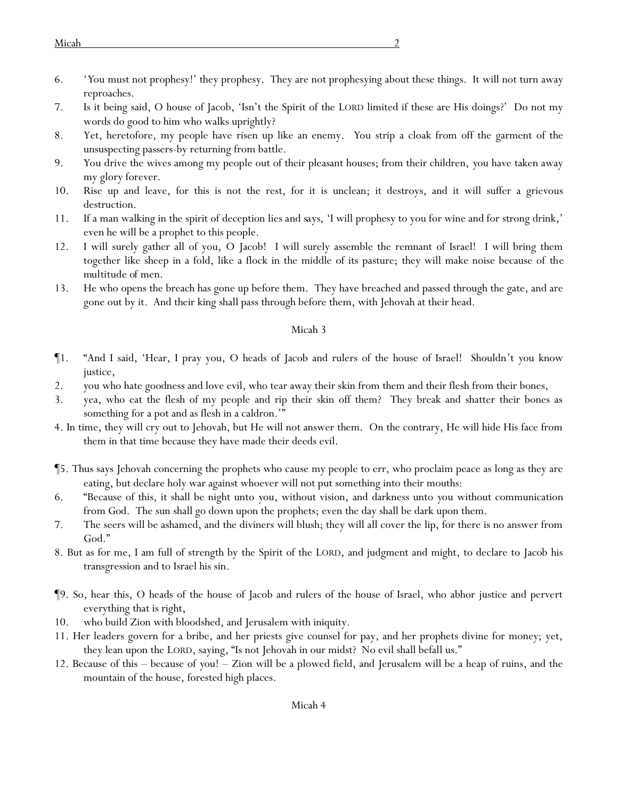- 6. '*Y*ou must not prophesy!' they prophesy. They are not prophesying about these things. It will not turn away reproaches.
- 7. Is it being said, O house of Jacob, 'Isn't the Spirit of the LORD limited if these are His doings?' Do not my words do good to him who walks uprightly?
- 8. Yet, heretofore, my people have risen up like an enemy. *Y*ou strip a cloak from off the garment of the unsuspecting passers-by returning from battle.
- 9. *Y*ou drive the wives among my people out of their pleasant houses; from their children, *y*ou have taken away my glory forever.
- 10. Rise up and leave, for this is not the rest, for it is unclean; it destroys, and it will suffer a grievous destruction.
- 11. If a man walking in the spirit of deception lies *and says*, 'I will prophesy to you for wine and for strong drink,' even he will be a prophet to this people.
- 12. I will surely gather all of you, O Jacob! I will surely assemble the remnant of Israel! I will bring them together like sheep in a fold, like a flock in the middle of its pasture; they will make noise because of *the multitude of* men.
- 13. He who opens the breach has gone up before them. They have breached and passed through the gate, and are gone out by it. And their king shall pass through before them, with Jehovah at their head.

- ¶1. "And I said, 'Hear, I pray you, O heads of Jacob and rulers of the house of Israel! Shouldn't *y*ou know justice,
- 2. *y*ou who hate goodness and love evil, who tear away their skin from them and their flesh from their bones,
- 3. yea, who eat the flesh of my people and rip their skin off them? They break and shatter their bones as something for a pot and as flesh in a caldron.'"
- 4. In time, they will cry out to Jehovah, but He will not answer them. On the contrary, He will hide His face from them in that time because they have made their deeds evil.
- ¶5. Thus says Jehovah concerning the prophets who cause my people to err, who proclaim peace as long as they are eating, but declare holy war against whoever will not put something into their mouths:
- 6. "Because of this, it shall be night unto *y*ou, without vision, and darkness unto *y*ou without communication *from God*. The sun shall go down upon the prophets; even the day shall be dark upon them.
- 7. The seers will be ashamed, and the diviners will blush; they will all cover the lip, for there is no answer from God."
- 8. But as for me, I am full of strength by the Spirit of the LORD, and judgment and might, to declare to Jacob his transgression and to Israel his sin.
- ¶9. So, hear this, O heads of the house of Jacob and rulers of the house of Israel, who abhor justice and pervert everything that is right,
- 10. who build Zion with bloodshed, and Jerusalem with iniquity.
- 11. Her leaders govern for a bribe, and her priests give counsel for pay, and her prophets divine for money; yet, they lean upon the LORD, saying, "Is not Jehovah in our midst? No evil shall befall us."
- 12. Because of this because of *y*ou! Zion will be a plowed field, and Jerusalem will be a heap of ruins, and the mountain of the house, forested high places.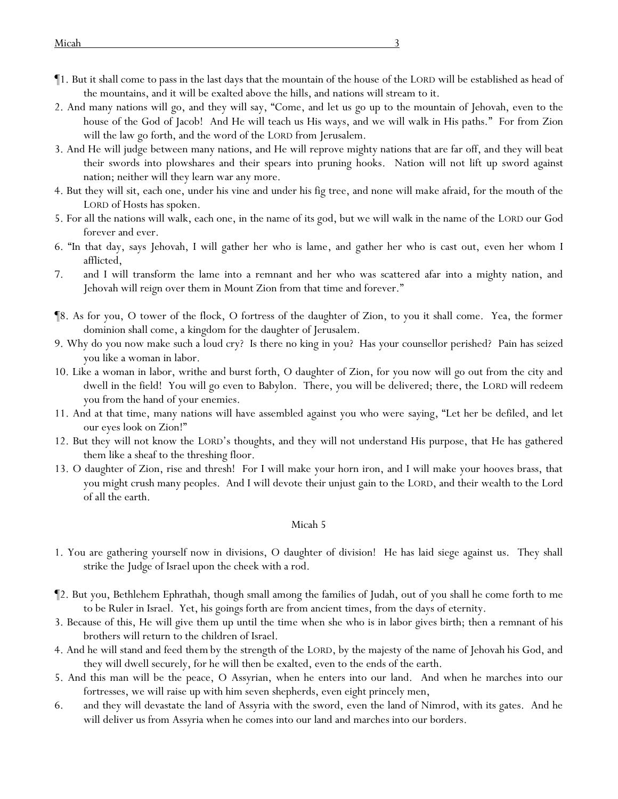- ¶1. But it shall come to pass in the last days that the mountain of the house of the LORD will be established as head of the mountains, and it will be exalted above the hills, and nations will stream to it.
- 2. And many nations will go, and they will say, "Come, and let us go up to the mountain of Jehovah, even to the house of the God of Jacob! And He will teach us His ways, and we will walk in His paths." For from Zion will the law go forth, and the word of the LORD from Jerusalem.
- 3. And He will judge between many nations, and He will reprove mighty nations that are far off, and they will beat their swords into plowshares and their spears into pruning hooks. Nation will not lift up sword against nation; neither will they learn war any more.
- 4. But they will sit, each one, under his vine and under his fig tree, and none will make afraid, for the mouth of the LORD of Hosts has spoken.
- 5. For all the nations will walk, each one, in the name of its god, but we will walk in the name of the LORD our God forever and ever.
- 6. "In that day, says Jehovah, I will gather her who is lame, and gather her who is cast out, even her whom I afflicted,
- 7. and I will transform the lame into a remnant and her who was scattered afar into a mighty nation, and Jehovah will reign over them in Mount Zion from that time and forever."
- ¶8. As for you, O tower of the flock, O fortress of the daughter of Zion, to you it shall come. Yea, the former dominion shall come, a kingdom for the daughter of Jerusalem.
- 9. Why do you now make such a loud cry? Is there no king in you? Has your counsellor perished? Pain has seized you like a woman in labor.
- 10. Like a woman in labor, writhe and burst forth, O daughter of Zion, for you now will go out from the city and dwell in the field! You will go even to Babylon. There, you will be delivered; there, the LORD will redeem you from the hand of your enemies.
- 11. And at that time, many nations will have assembled against you who were saying, "Let her be defiled, and let our eyes look on Zion!"
- 12. But they will not know the LORD's thoughts, and they will not understand His purpose, that He has gathered them like a sheaf to the threshing floor.
- 13. O daughter of Zion, rise and thresh! For I will make your horn iron, and I will make your hooves brass, that you might crush many peoples. And I will devote their unjust gain to the LORD, and their wealth to the Lord of all the earth.

- 1. You are gathering yourself now in divisions, O daughter of division! He has laid siege against us. They shall strike the Judge of Israel upon the cheek with a rod.
- ¶2. But you, Bethlehem Ephrathah, though small among the families of Judah, out of you shall he come forth to me to be Ruler in Israel. Yet, his goings forth are from ancient times, from the days of eternity.
- 3. Because of this, He will give them up until the time when she who is in labor gives birth; then a remnant of his brothers will return to the children of Israel.
- 4. And he will stand and feed *them* by the strength of the LORD, by the majesty of the name of Jehovah his God, and they will dwell securely, for he will then be exalted, even to the ends of the earth.
- 5. And this man will be the peace, O Assyrian, when he enters into our land. And when he marches into our fortresses, we will raise up with him seven shepherds, even eight princely men,
- 6. and they will devastate the land of Assyria with the sword, even the land of Nimrod, with its gates. And he will deliver us from Assyria when he comes into our land and marches into our borders.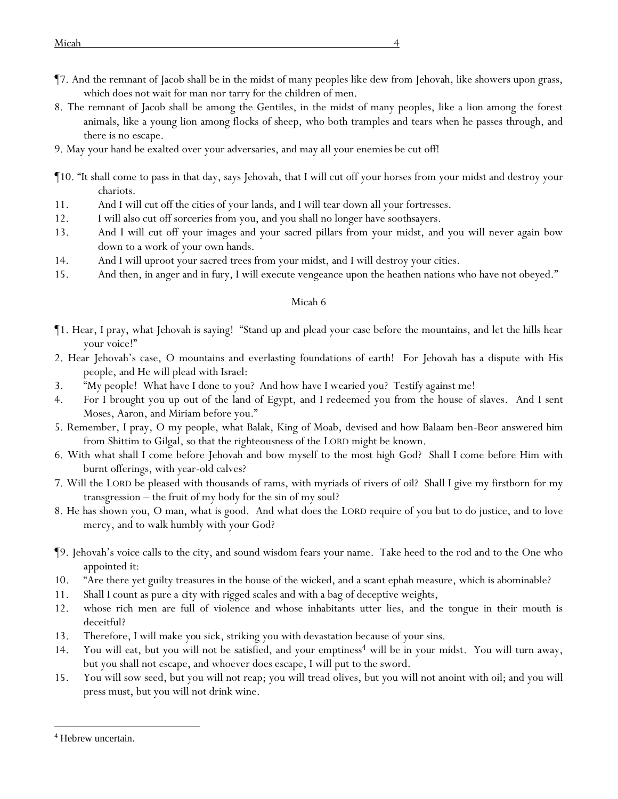- ¶7. And the remnant of Jacob shall be in the midst of many peoples like dew from Jehovah, like showers upon grass, which does not wait for man nor tarry for the children of men.
- 8. The remnant of Jacob shall be among the Gentiles, in the midst of many peoples, like a lion among the forest animals, like a young lion among flocks of sheep, who both tramples and tears when he passes through, and there is no escape.
- 9. May your hand be exalted over your adversaries, and may all your enemies be cut off!
- ¶10. "It shall come to pass in that day, says Jehovah, that I will cut off your horses from your midst and destroy your chariots.
- 11. And I will cut off the cities of your lands, and I will tear down all your fortresses.
- 12. I will also cut off sorceries from you, and you shall no longer have soothsayers.
- 13. And I will cut off your images and your sacred pillars from your midst, and you will never again bow down to a work of your own hands.
- 14. And I will uproot your sacred trees from your midst, and I will destroy your cities.
- 15. And then, in anger and in fury, I will execute vengeance upon the heathen nations who have not obeyed."

- ¶1. Hear, I pray, what Jehovah is saying! "Stand up and plead your case before the mountains, and let the hills hear your voice!"
- 2. Hear Jehovah's case, O mountains and everlasting foundations of earth! For Jehovah has a dispute with His people, and He will plead with Israel:
- 3. "My people! What have I done to you? And how have I wearied you? Testify against me!
- 4. For I brought you up out of the land of Egypt, and I redeemed you from the house of slaves. And I sent Moses, Aaron, and Miriam before you."
- 5. Remember, I pray, O my people, what Balak, King of Moab, devised and how Balaam ben-Beor answered him from Shittim to Gilgal, so that the righteousness of the LORD might be known.
- 6. With what shall I come before Jehovah and bow myself to the most high God? Shall I come before Him with burnt offerings, with year-old calves?
- 7. Will the LORD be pleased with thousands of rams, with myriads of rivers of oil? Shall I give my firstborn *for* my transgression – the fruit of my body *for* the sin of my soul?
- 8. He has shown you, O man, what is good. And what does the LORD require of you but to do justice, and to love mercy, and to walk humbly with your God?
- ¶9. Jehovah's voice calls to the city, and sound wisdom fears your name. Take heed to the rod and to the One who appointed it:
- 10. "Are there yet guilty treasures in the house of the wicked, and a scant ephah measure, which is abominable?
- 11. Shall I count as pure *a city* with rigged scales and with a bag of deceptive weights,
- 12. whose rich men are full of violence and whose inhabitants utter lies, and the tongue in their mouth is deceitful?
- 13. Therefore, I will make *you* sick, striking you with devastation because of your sins.
- 14. You will eat, but you will not be satisfied, and your emptiness<sup>4</sup> will be in your midst. You will turn away, but you shall not escape, and whoever does escape, I will put to the sword.
- 15. You will sow seed, but you will not reap; you will tread olives, but you will not anoint with oil; and you will press must, but you will not drink wine.

<sup>4</sup> Hebrew uncertain.